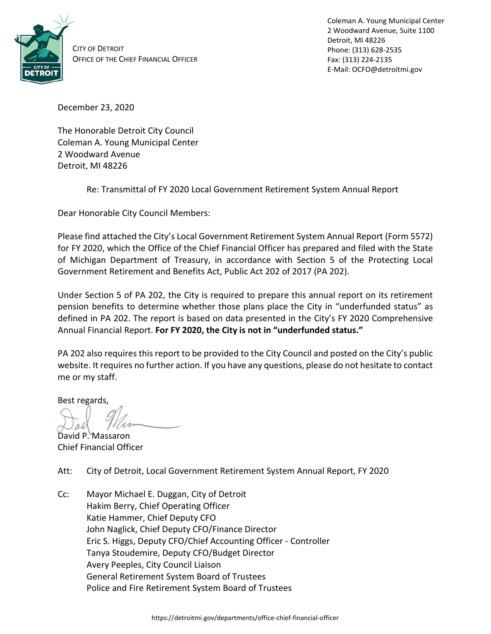

CITY OF DETROIT OFFICE OF THE CHIEF FINANCIAL OFFICER Coleman A. Young Municipal Center 2 Woodward Avenue, Suite 1100 Detroit, MI 48226 Phone: (313) 628-2535 Fax: (313) 224-2135 E-Mail: OCFO@detroitmi.gov

December 23, 2020

The Honorable Detroit City Council Coleman A. Young Municipal Center 2 Woodward Avenue Detroit, MI 48226

Re: Transmittal of FY 2020 Local Government Retirement System Annual Report

Dear Honorable City Council Members:

Please find attached the City's Local Government Retirement System Annual Report (Form 5572) for FY 2020, which the Office of the Chief Financial Officer has prepared and filed with the State of Michigan Department of Treasury, in accordance with Section 5 of the Protecting Local Government Retirement and Benefits Act, Public Act 202 of 2017 (PA 202).

Under Section 5 of PA 202, the City is required to prepare this annual report on its retirement pension benefits to determine whether those plans place the City in "underfunded status" as defined in PA 202. The report is based on data presented in the City's FY 2020 Comprehensive Annual Financial Report. **For FY 2020, the City is not in "underfunded status."**

PA 202 also requires this report to be provided to the City Council and posted on the City's public website. It requires no further action. If you have any questions, please do not hesitate to contact me or my staff.

Best regards,

David P. Massaron Chief Financial Officer

Att: City of Detroit, Local Government Retirement System Annual Report, FY 2020

Cc: Mayor Michael E. Duggan, City of Detroit Hakim Berry, Chief Operating Officer Katie Hammer, Chief Deputy CFO John Naglick, Chief Deputy CFO/Finance Director Eric S. Higgs, Deputy CFO/Chief Accounting Officer - Controller Tanya Stoudemire, Deputy CFO/Budget Director Avery Peeples, City Council Liaison General Retirement System Board of Trustees Police and Fire Retirement System Board of Trustees